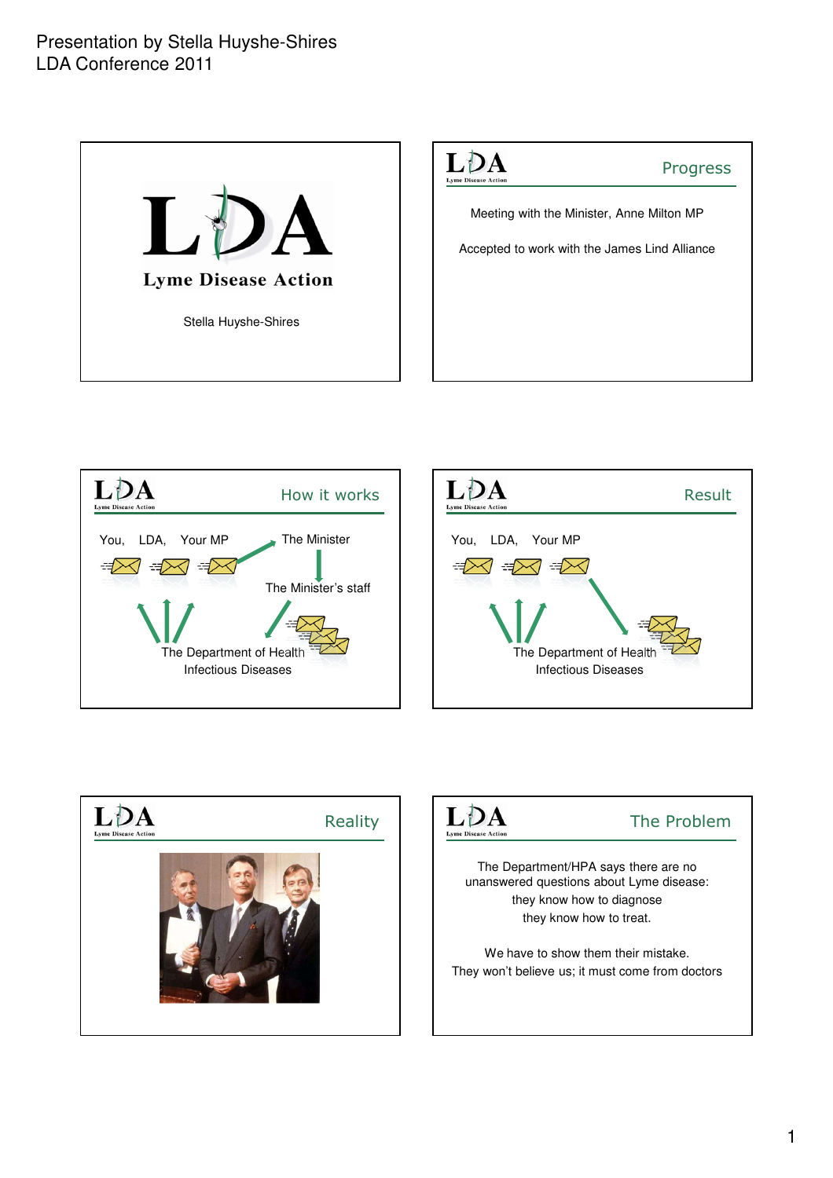









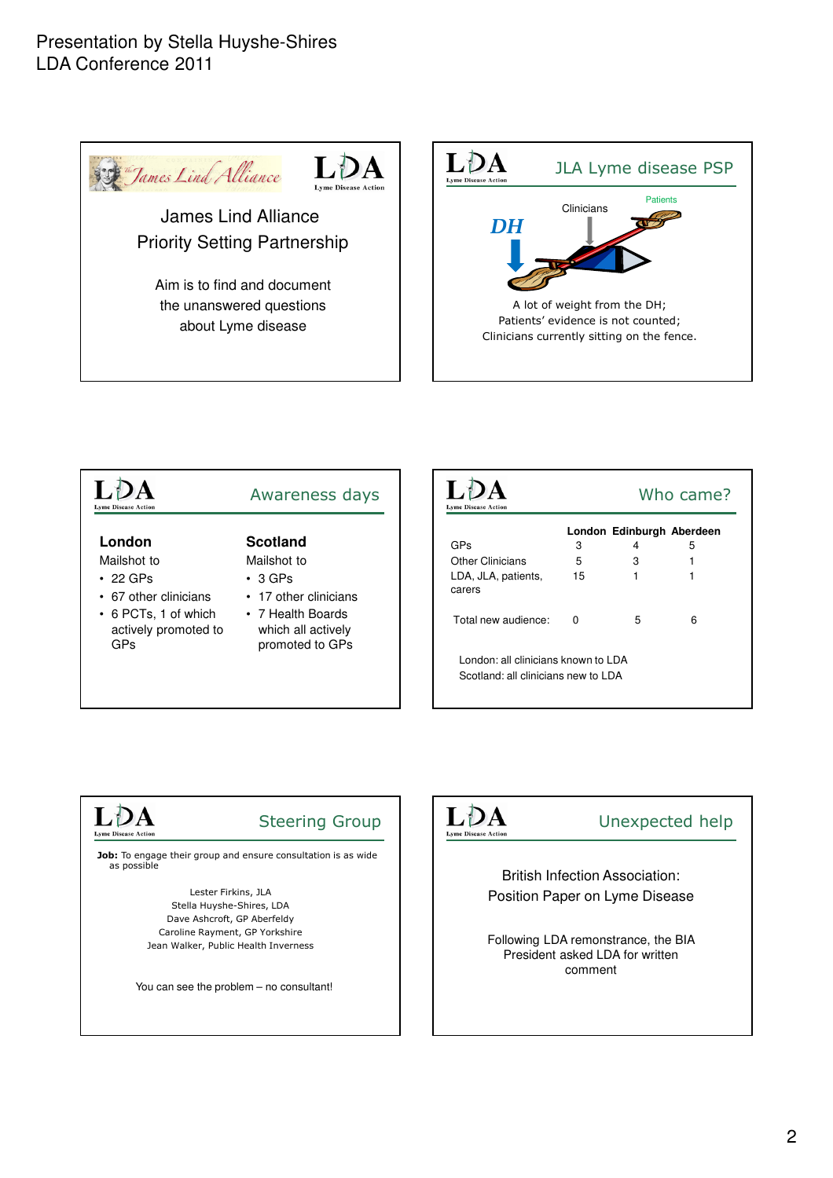### Presentation by Stella Huyshe-Shires LDA Conference 2011





| <b>Lyme Disease Action</b>                                      | Awareness days                                              | <b>Lyme Disease Action</b>                                                 |                | Who came?                      |   |
|-----------------------------------------------------------------|-------------------------------------------------------------|----------------------------------------------------------------------------|----------------|--------------------------------|---|
| London                                                          | <b>Scotland</b>                                             | <b>GPs</b>                                                                 | 3              | London Edinburgh Aberdeen<br>4 | 5 |
| Mailshot to                                                     | Mailshot to                                                 | <b>Other Clinicians</b>                                                    | 5              | 3                              |   |
| $\cdot$ 22 GPs<br>• 67 other clinicians<br>• 6 PCTs, 1 of which | $\cdot$ 3 GPs<br>• 17 other clinicians<br>• 7 Health Boards | LDA, JLA, patients,<br>carers<br>Total new audience:                       | 15<br>$\Omega$ | 5                              | 6 |
| actively promoted to<br><b>GPs</b>                              | which all actively<br>promoted to GPs                       | London: all clinicians known to LDA<br>Scotland: all clinicians new to LDA |                |                                |   |

#### LDA **Lyme Disease Action**

# Steering Group

Job: To engage their group and ensure consultation is as wide as possible

> Lester Firkins, JLA Stella Huyshe-Shires, LDA Dave Ashcroft, GP Aberfeldy Caroline Rayment, GP Yorkshire Jean Walker, Public Health Inverness

You can see the problem – no consultant!



# Unexpected help

British Infection Association: Position Paper on Lyme Disease

Following LDA remonstrance, the BIA President asked LDA for written comment